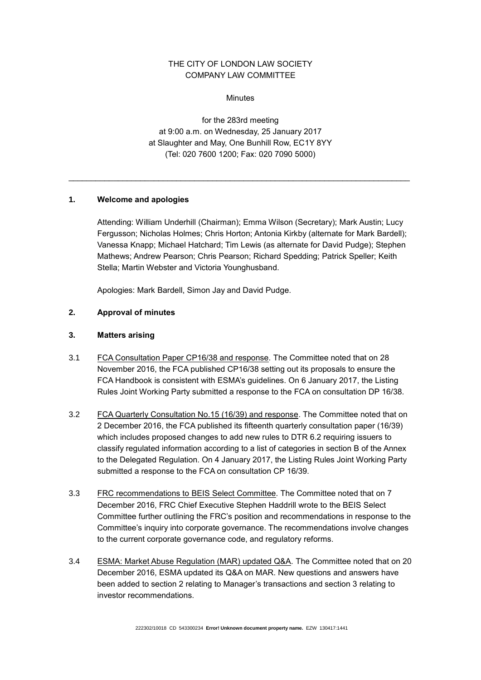# THE CITY OF LONDON LAW SOCIETY COMPANY LAW COMMITTEE

**Minutes** 

for the 283rd meeting at 9:00 a.m. on Wednesday, 25 January 2017 at Slaughter and May, One Bunhill Row, EC1Y 8YY (Tel: 020 7600 1200; Fax: 020 7090 5000)

\_\_\_\_\_\_\_\_\_\_\_\_\_\_\_\_\_\_\_\_\_\_\_\_\_\_\_\_\_\_\_\_\_\_\_\_\_\_\_\_\_\_\_\_\_\_\_\_\_\_\_\_\_\_\_\_\_\_\_\_\_\_\_\_\_\_\_\_\_\_\_\_\_\_\_\_

## **1. Welcome and apologies**

Attending: William Underhill (Chairman); Emma Wilson (Secretary); Mark Austin; Lucy Fergusson; Nicholas Holmes; Chris Horton; Antonia Kirkby (alternate for Mark Bardell); Vanessa Knapp; Michael Hatchard; Tim Lewis (as alternate for David Pudge); Stephen Mathews; Andrew Pearson; Chris Pearson; Richard Spedding; Patrick Speller; Keith Stella; Martin Webster and Victoria Younghusband.

Apologies: Mark Bardell, Simon Jay and David Pudge.

## **2. Approval of minutes**

## **3. Matters arising**

- 3.1 FCA Consultation Paper CP16/38 and response*.* The Committee noted that on 28 November 2016, the FCA published CP16/38 setting out its proposals to ensure the FCA Handbook is consistent with ESMA's guidelines. On 6 January 2017, the Listing Rules Joint Working Party submitted a response to the FCA on consultation DP 16/38.
- 3.2 FCA Quarterly Consultation No.15 (16/39) and response. The Committee noted that on 2 December 2016, the FCA published its fifteenth quarterly consultation paper (16/39) which includes proposed changes to add new rules to DTR 6.2 requiring issuers to classify regulated information according to a list of categories in section B of the Annex to the Delegated Regulation. On 4 January 2017, the Listing Rules Joint Working Party submitted a response to the FCA on consultation CP 16/39.
- 3.3 FRC recommendations to BEIS Select Committee*.* The Committee noted that on 7 December 2016, FRC Chief Executive Stephen Haddrill wrote to the BEIS Select Committee further outlining the FRC's position and recommendations in response to the Committee's inquiry into corporate governance. The recommendations involve changes to the current corporate governance code, and regulatory reforms.
- 3.4 ESMA: Market Abuse Regulation (MAR) updated Q&A*.* The Committee noted that on 20 December 2016, ESMA updated its Q&A on MAR. New questions and answers have been added to section 2 relating to Manager's transactions and section 3 relating to investor recommendations.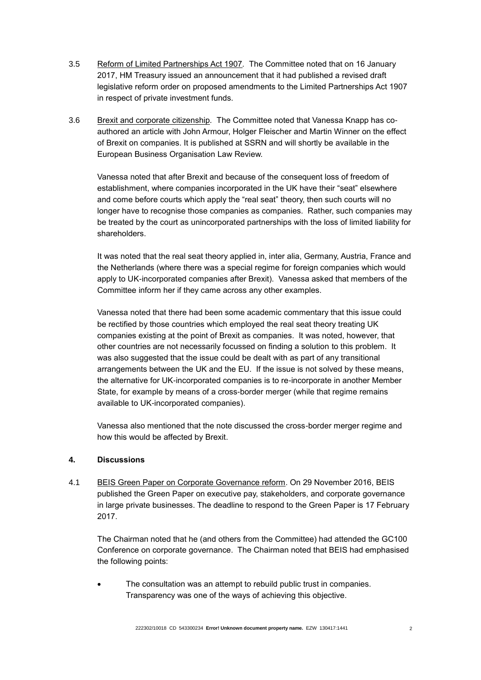- 3.5 Reform of Limited Partnerships Act 1907*.* The Committee noted that on 16 January 2017, HM Treasury issued an announcement that it had published a revised draft legislative reform order on proposed amendments to the Limited Partnerships Act 1907 in respect of private investment funds.
- 3.6 Brexit and corporate citizenship*.* The Committee noted that Vanessa Knapp has coauthored an article with John Armour, Holger Fleischer and Martin Winner on the effect of Brexit on companies. It is published at SSRN and will shortly be available in the European Business Organisation Law Review.

Vanessa noted that after Brexit and because of the consequent loss of freedom of establishment, where companies incorporated in the UK have their "seat" elsewhere and come before courts which apply the "real seat" theory, then such courts will no longer have to recognise those companies as companies. Rather, such companies may be treated by the court as unincorporated partnerships with the loss of limited liability for shareholders.

It was noted that the real seat theory applied in, inter alia, Germany, Austria, France and the Netherlands (where there was a special regime for foreign companies which would apply to UK-incorporated companies after Brexit). Vanessa asked that members of the Committee inform her if they came across any other examples.

Vanessa noted that there had been some academic commentary that this issue could be rectified by those countries which employed the real seat theory treating UK companies existing at the point of Brexit as companies. It was noted, however, that other countries are not necessarily focussed on finding a solution to this problem. It was also suggested that the issue could be dealt with as part of any transitional arrangements between the UK and the EU. If the issue is not solved by these means, the alternative for UK-incorporated companies is to re-incorporate in another Member State, for example by means of a cross-border merger (while that regime remains available to UK-incorporated companies).

Vanessa also mentioned that the note discussed the cross-border merger regime and how this would be affected by Brexit.

## **4. Discussions**

4.1 BEIS Green Paper on Corporate Governance reform. On 29 November 2016, BEIS published the Green Paper on executive pay, stakeholders, and corporate governance in large private businesses. The deadline to respond to the Green Paper is 17 February 2017.

The Chairman noted that he (and others from the Committee) had attended the GC100 Conference on corporate governance. The Chairman noted that BEIS had emphasised the following points:

 The consultation was an attempt to rebuild public trust in companies. Transparency was one of the ways of achieving this objective.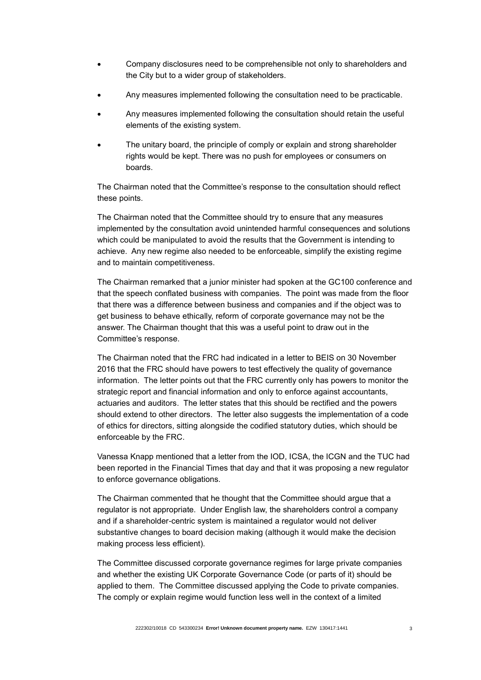- Company disclosures need to be comprehensible not only to shareholders and the City but to a wider group of stakeholders.
- Any measures implemented following the consultation need to be practicable.
- Any measures implemented following the consultation should retain the useful elements of the existing system.
- The unitary board, the principle of comply or explain and strong shareholder rights would be kept. There was no push for employees or consumers on boards.

The Chairman noted that the Committee's response to the consultation should reflect these points.

The Chairman noted that the Committee should try to ensure that any measures implemented by the consultation avoid unintended harmful consequences and solutions which could be manipulated to avoid the results that the Government is intending to achieve. Any new regime also needed to be enforceable, simplify the existing regime and to maintain competitiveness.

The Chairman remarked that a junior minister had spoken at the GC100 conference and that the speech conflated business with companies. The point was made from the floor that there was a difference between business and companies and if the object was to get business to behave ethically, reform of corporate governance may not be the answer. The Chairman thought that this was a useful point to draw out in the Committee's response.

The Chairman noted that the FRC had indicated in a letter to BEIS on 30 November 2016 that the FRC should have powers to test effectively the quality of governance information. The letter points out that the FRC currently only has powers to monitor the strategic report and financial information and only to enforce against accountants, actuaries and auditors. The letter states that this should be rectified and the powers should extend to other directors. The letter also suggests the implementation of a code of ethics for directors, sitting alongside the codified statutory duties, which should be enforceable by the FRC.

Vanessa Knapp mentioned that a letter from the IOD, ICSA, the ICGN and the TUC had been reported in the Financial Times that day and that it was proposing a new regulator to enforce governance obligations.

The Chairman commented that he thought that the Committee should argue that a regulator is not appropriate. Under English law, the shareholders control a company and if a shareholder-centric system is maintained a regulator would not deliver substantive changes to board decision making (although it would make the decision making process less efficient).

The Committee discussed corporate governance regimes for large private companies and whether the existing UK Corporate Governance Code (or parts of it) should be applied to them. The Committee discussed applying the Code to private companies. The comply or explain regime would function less well in the context of a limited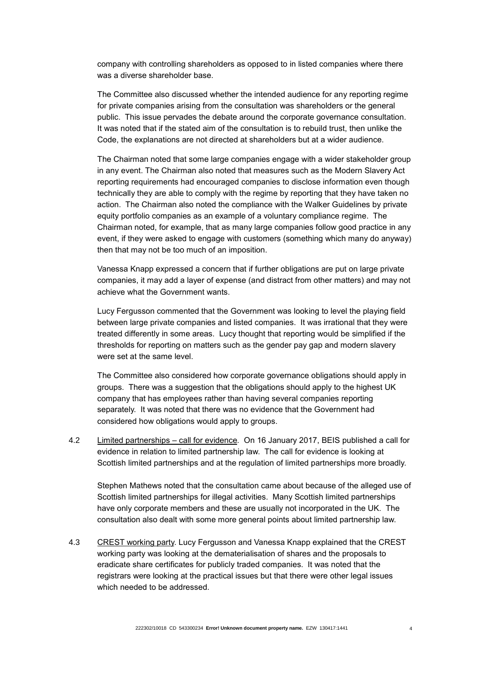company with controlling shareholders as opposed to in listed companies where there was a diverse shareholder base.

The Committee also discussed whether the intended audience for any reporting regime for private companies arising from the consultation was shareholders or the general public. This issue pervades the debate around the corporate governance consultation. It was noted that if the stated aim of the consultation is to rebuild trust, then unlike the Code, the explanations are not directed at shareholders but at a wider audience.

The Chairman noted that some large companies engage with a wider stakeholder group in any event. The Chairman also noted that measures such as the Modern Slavery Act reporting requirements had encouraged companies to disclose information even though technically they are able to comply with the regime by reporting that they have taken no action. The Chairman also noted the compliance with the Walker Guidelines by private equity portfolio companies as an example of a voluntary compliance regime. The Chairman noted, for example, that as many large companies follow good practice in any event, if they were asked to engage with customers (something which many do anyway) then that may not be too much of an imposition.

Vanessa Knapp expressed a concern that if further obligations are put on large private companies, it may add a layer of expense (and distract from other matters) and may not achieve what the Government wants.

Lucy Fergusson commented that the Government was looking to level the playing field between large private companies and listed companies. It was irrational that they were treated differently in some areas. Lucy thought that reporting would be simplified if the thresholds for reporting on matters such as the gender pay gap and modern slavery were set at the same level.

The Committee also considered how corporate governance obligations should apply in groups. There was a suggestion that the obligations should apply to the highest UK company that has employees rather than having several companies reporting separately. It was noted that there was no evidence that the Government had considered how obligations would apply to groups.

4.2 Limited partnerships – call for evidence*.* On 16 January 2017, BEIS published a call for evidence in relation to limited partnership law. The call for evidence is looking at Scottish limited partnerships and at the regulation of limited partnerships more broadly.

Stephen Mathews noted that the consultation came about because of the alleged use of Scottish limited partnerships for illegal activities. Many Scottish limited partnerships have only corporate members and these are usually not incorporated in the UK. The consultation also dealt with some more general points about limited partnership law.

4.3 CREST working party. Lucy Fergusson and Vanessa Knapp explained that the CREST working party was looking at the dematerialisation of shares and the proposals to eradicate share certificates for publicly traded companies. It was noted that the registrars were looking at the practical issues but that there were other legal issues which needed to be addressed.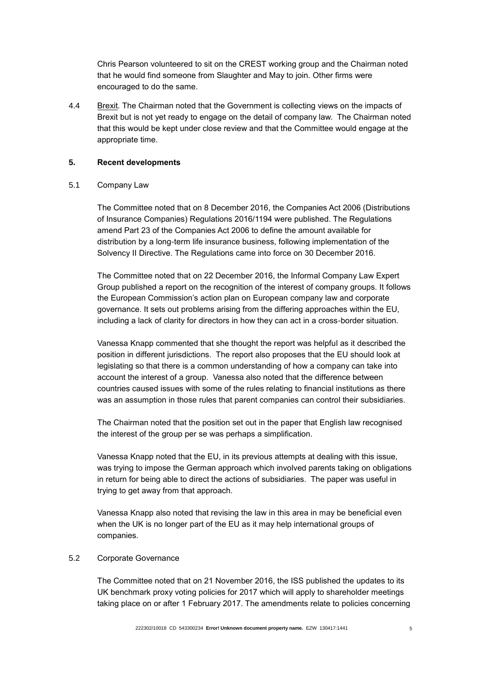Chris Pearson volunteered to sit on the CREST working group and the Chairman noted that he would find someone from Slaughter and May to join. Other firms were encouraged to do the same.

4.4 Brexit*.* The Chairman noted that the Government is collecting views on the impacts of Brexit but is not yet ready to engage on the detail of company law. The Chairman noted that this would be kept under close review and that the Committee would engage at the appropriate time.

## **5. Recent developments**

## 5.1 Company Law

The Committee noted that on 8 December 2016, the Companies Act 2006 (Distributions of Insurance Companies) Regulations 2016/1194 were published. The Regulations amend Part 23 of the Companies Act 2006 to define the amount available for distribution by a long-term life insurance business, following implementation of the Solvency II Directive. The Regulations came into force on 30 December 2016.

The Committee noted that on 22 December 2016, the Informal Company Law Expert Group published a report on the recognition of the interest of company groups. It follows the European Commission's action plan on European company law and corporate governance. It sets out problems arising from the differing approaches within the EU, including a lack of clarity for directors in how they can act in a cross-border situation.

Vanessa Knapp commented that she thought the report was helpful as it described the position in different jurisdictions. The report also proposes that the EU should look at legislating so that there is a common understanding of how a company can take into account the interest of a group. Vanessa also noted that the difference between countries caused issues with some of the rules relating to financial institutions as there was an assumption in those rules that parent companies can control their subsidiaries.

The Chairman noted that the position set out in the paper that English law recognised the interest of the group per se was perhaps a simplification.

Vanessa Knapp noted that the EU, in its previous attempts at dealing with this issue, was trying to impose the German approach which involved parents taking on obligations in return for being able to direct the actions of subsidiaries. The paper was useful in trying to get away from that approach.

Vanessa Knapp also noted that revising the law in this area in may be beneficial even when the UK is no longer part of the EU as it may help international groups of companies.

### 5.2 Corporate Governance

The Committee noted that on 21 November 2016, the ISS published the updates to its UK benchmark proxy voting policies for 2017 which will apply to shareholder meetings taking place on or after 1 February 2017. The amendments relate to policies concerning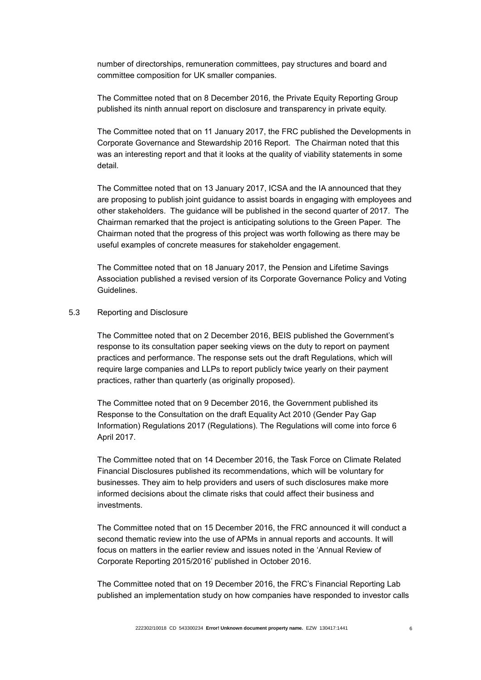number of directorships, remuneration committees, pay structures and board and committee composition for UK smaller companies.

The Committee noted that on 8 December 2016, the Private Equity Reporting Group published its ninth annual report on disclosure and transparency in private equity.

The Committee noted that on 11 January 2017, the FRC published the Developments in Corporate Governance and Stewardship 2016 Report. The Chairman noted that this was an interesting report and that it looks at the quality of viability statements in some detail.

The Committee noted that on 13 January 2017, ICSA and the IA announced that they are proposing to publish joint guidance to assist boards in engaging with employees and other stakeholders. The guidance will be published in the second quarter of 2017. The Chairman remarked that the project is anticipating solutions to the Green Paper. The Chairman noted that the progress of this project was worth following as there may be useful examples of concrete measures for stakeholder engagement.

The Committee noted that on 18 January 2017, the Pension and Lifetime Savings Association published a revised version of its Corporate Governance Policy and Voting Guidelines.

### 5.3 Reporting and Disclosure

The Committee noted that on 2 December 2016, BEIS published the Government's response to its consultation paper seeking views on the duty to report on payment practices and performance. The response sets out the draft Regulations, which will require large companies and LLPs to report publicly twice yearly on their payment practices, rather than quarterly (as originally proposed).

The Committee noted that on 9 December 2016, the Government published its Response to the Consultation on the draft Equality Act 2010 (Gender Pay Gap Information) Regulations 2017 (Regulations). The Regulations will come into force 6 April 2017.

The Committee noted that on 14 December 2016, the Task Force on Climate Related Financial Disclosures published its recommendations, which will be voluntary for businesses. They aim to help providers and users of such disclosures make more informed decisions about the climate risks that could affect their business and investments.

The Committee noted that on 15 December 2016, the FRC announced it will conduct a second thematic review into the use of APMs in annual reports and accounts. It will focus on matters in the earlier review and issues noted in the 'Annual Review of Corporate Reporting 2015/2016' published in October 2016.

The Committee noted that on 19 December 2016, the FRC's Financial Reporting Lab published an implementation study on how companies have responded to investor calls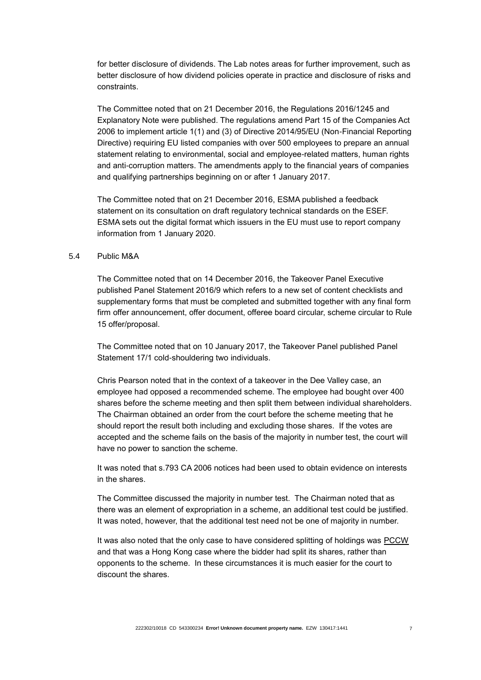for better disclosure of dividends. The Lab notes areas for further improvement, such as better disclosure of how dividend policies operate in practice and disclosure of risks and constraints.

The Committee noted that on 21 December 2016, the Regulations 2016/1245 and Explanatory Note were published. The regulations amend Part 15 of the Companies Act 2006 to implement article 1(1) and (3) of Directive 2014/95/EU (Non-Financial Reporting Directive) requiring EU listed companies with over 500 employees to prepare an annual statement relating to environmental, social and employee-related matters, human rights and anti-corruption matters. The amendments apply to the financial years of companies and qualifying partnerships beginning on or after 1 January 2017.

The Committee noted that on 21 December 2016, ESMA published a feedback statement on its consultation on draft regulatory technical standards on the ESEF. ESMA sets out the digital format which issuers in the EU must use to report company information from 1 January 2020.

### 5.4 Public M&A

The Committee noted that on 14 December 2016, the Takeover Panel Executive published Panel Statement 2016/9 which refers to a new set of content checklists and supplementary forms that must be completed and submitted together with any final form firm offer announcement, offer document, offeree board circular, scheme circular to Rule 15 offer/proposal.

The Committee noted that on 10 January 2017, the Takeover Panel published Panel Statement 17/1 cold-shouldering two individuals.

Chris Pearson noted that in the context of a takeover in the Dee Valley case, an employee had opposed a recommended scheme. The employee had bought over 400 shares before the scheme meeting and then split them between individual shareholders. The Chairman obtained an order from the court before the scheme meeting that he should report the result both including and excluding those shares. If the votes are accepted and the scheme fails on the basis of the majority in number test, the court will have no power to sanction the scheme.

It was noted that s.793 CA 2006 notices had been used to obtain evidence on interests in the shares.

The Committee discussed the majority in number test. The Chairman noted that as there was an element of expropriation in a scheme, an additional test could be justified. It was noted, however, that the additional test need not be one of majority in number.

It was also noted that the only case to have considered splitting of holdings was PCCW and that was a Hong Kong case where the bidder had split its shares, rather than opponents to the scheme. In these circumstances it is much easier for the court to discount the shares.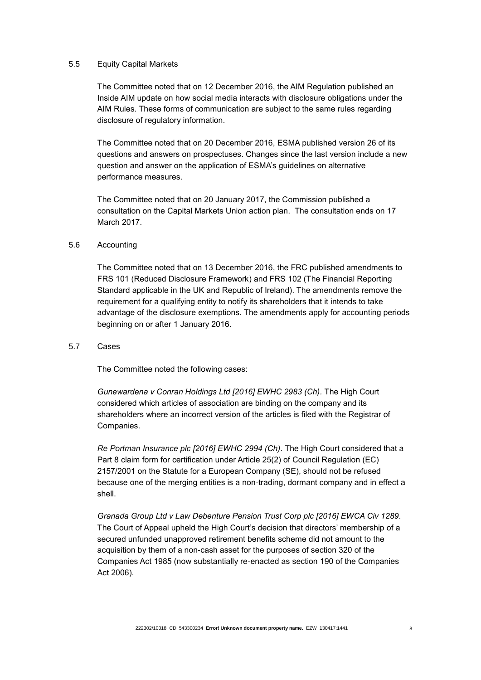### 5.5 Equity Capital Markets

The Committee noted that on 12 December 2016, the AIM Regulation published an Inside AIM update on how social media interacts with disclosure obligations under the AIM Rules. These forms of communication are subject to the same rules regarding disclosure of regulatory information.

The Committee noted that on 20 December 2016, ESMA published version 26 of its questions and answers on prospectuses. Changes since the last version include a new question and answer on the application of ESMA's guidelines on alternative performance measures.

The Committee noted that on 20 January 2017, the Commission published a consultation on the Capital Markets Union action plan. The consultation ends on 17 March 2017.

## 5.6 Accounting

The Committee noted that on 13 December 2016, the FRC published amendments to FRS 101 (Reduced Disclosure Framework) and FRS 102 (The Financial Reporting Standard applicable in the UK and Republic of Ireland). The amendments remove the requirement for a qualifying entity to notify its shareholders that it intends to take advantage of the disclosure exemptions. The amendments apply for accounting periods beginning on or after 1 January 2016.

#### 5.7 Cases

The Committee noted the following cases:

Gunewardena v Conran Holdings Ltd [2016] EWHC 2983 (Ch). The High Court considered which articles of association are binding on the company and its shareholders where an incorrect version of the articles is filed with the Registrar of Companies.

*Re Portman Insurance plc [2016] EWHC 2994 (Ch)*. The High Court considered that a Part 8 claim form for certification under Article 25(2) of Council Regulation (EC) 2157/2001 on the Statute for a European Company (SE), should not be refused because one of the merging entities is a non-trading, dormant company and in effect a shell.

*Granada Group Ltd v Law Debenture Pension Trust Corp plc [2016] EWCA Civ 1289.*  The Court of Appeal upheld the High Court's decision that directors' membership of a secured unfunded unapproved retirement benefits scheme did not amount to the acquisition by them of a non-cash asset for the purposes of section 320 of the Companies Act 1985 (now substantially re-enacted as section 190 of the Companies Act 2006).